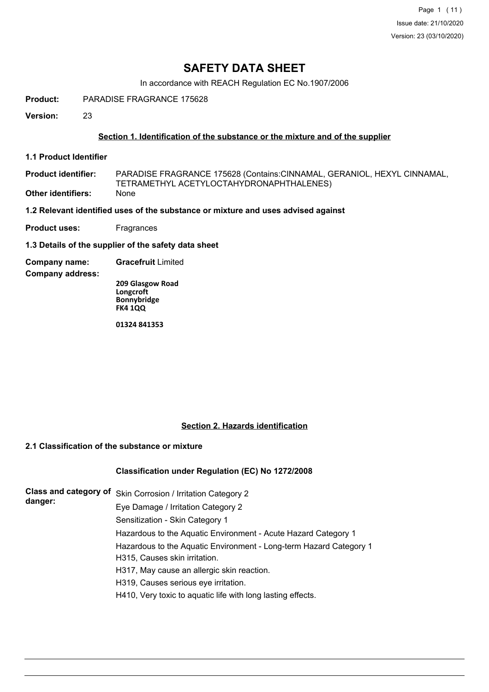Page 1 (11) Issue date: 21/10/2020 Version: 23 (03/10/2020)

## **SAFETY DATA SHEET**

In accordance with REACH Regulation EC No.1907/2006

**Product:** PARADISE FRAGRANCE 175628

**Version:** 23

## **Section 1. Identification of the substance or the mixture and of the supplier**

**1.1 Product Identifier**

PARADISE FRAGRANCE 175628 (Contains:CINNAMAL, GERANIOL, HEXYL CINNAMAL, TETRAMETHYL ACETYLOCTAHYDRONAPHTHALENES) **Product identifier: Other identifiers:** None

**1.2 Relevant identified uses of the substance or mixture and uses advised against**

**Product uses:** Fragrances

**1.3 Details of the supplier of the safety data sheet**

**Company name: Gracefruit** Limited

**Company address:**

**209 Glasgow Road Longcroft Bonnybridge FK4 1QQ**

**01324 841353**

## **Section 2. Hazards identification**

## **2.1 Classification of the substance or mixture**

## **Classification under Regulation (EC) No 1272/2008**

|         | Class and category of Skin Corrosion / Irritation Category 2       |
|---------|--------------------------------------------------------------------|
| danger: | Eye Damage / Irritation Category 2                                 |
|         | Sensitization - Skin Category 1                                    |
|         | Hazardous to the Aquatic Environment - Acute Hazard Category 1     |
|         | Hazardous to the Aquatic Environment - Long-term Hazard Category 1 |
|         | H315, Causes skin irritation.                                      |
|         | H317, May cause an allergic skin reaction.                         |
|         | H319, Causes serious eye irritation.                               |
|         | H410, Very toxic to aquatic life with long lasting effects.        |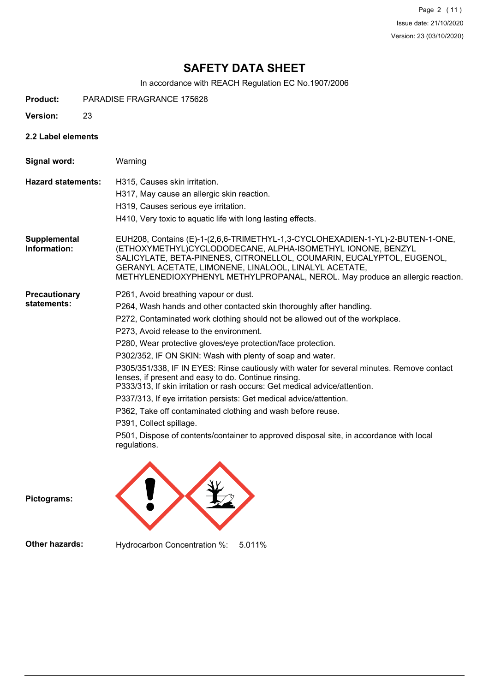Page 2 (11) Issue date: 21/10/2020 Version: 23 (03/10/2020)

# **SAFETY DATA SHEET**

In accordance with REACH Regulation EC No.1907/2006

| <b>Product:</b> | <b>PARADISE FRAGRANCE 175628</b> |  |
|-----------------|----------------------------------|--|
|                 |                                  |  |

- **Version:** 23
- **2.2 Label elements**

| Signal word:                        | Warning                                                                                                                                                                                                                                                                                                                                                          |
|-------------------------------------|------------------------------------------------------------------------------------------------------------------------------------------------------------------------------------------------------------------------------------------------------------------------------------------------------------------------------------------------------------------|
| <b>Hazard statements:</b>           | H315. Causes skin irritation.                                                                                                                                                                                                                                                                                                                                    |
|                                     | H317, May cause an allergic skin reaction.                                                                                                                                                                                                                                                                                                                       |
|                                     | H319, Causes serious eye irritation.                                                                                                                                                                                                                                                                                                                             |
|                                     | H410, Very toxic to aquatic life with long lasting effects.                                                                                                                                                                                                                                                                                                      |
| <b>Supplemental</b><br>Information: | EUH208, Contains (E)-1-(2,6,6-TRIMETHYL-1,3-CYCLOHEXADIEN-1-YL)-2-BUTEN-1-ONE,<br>(ETHOXYMETHYL)CYCLODODECANE, ALPHA-ISOMETHYL IONONE, BENZYL<br>SALICYLATE, BETA-PINENES, CITRONELLOL, COUMARIN, EUCALYPTOL, EUGENOL,<br>GERANYL ACETATE, LIMONENE, LINALOOL, LINALYL ACETATE,<br>METHYLENEDIOXYPHENYL METHYLPROPANAL, NEROL. May produce an allergic reaction. |
| <b>Precautionary</b>                | P261, Avoid breathing vapour or dust.                                                                                                                                                                                                                                                                                                                            |
| statements:                         | P264, Wash hands and other contacted skin thoroughly after handling.                                                                                                                                                                                                                                                                                             |
|                                     | P272, Contaminated work clothing should not be allowed out of the workplace.                                                                                                                                                                                                                                                                                     |
|                                     | P273, Avoid release to the environment.                                                                                                                                                                                                                                                                                                                          |
|                                     | P280, Wear protective gloves/eye protection/face protection.                                                                                                                                                                                                                                                                                                     |
|                                     | P302/352, IF ON SKIN: Wash with plenty of soap and water.                                                                                                                                                                                                                                                                                                        |
|                                     | P305/351/338, IF IN EYES: Rinse cautiously with water for several minutes. Remove contact<br>lenses, if present and easy to do. Continue rinsing.<br>P333/313, If skin irritation or rash occurs: Get medical advice/attention.                                                                                                                                  |
|                                     | P337/313, If eye irritation persists: Get medical advice/attention.                                                                                                                                                                                                                                                                                              |
|                                     | P362, Take off contaminated clothing and wash before reuse.                                                                                                                                                                                                                                                                                                      |
|                                     | P391, Collect spillage.                                                                                                                                                                                                                                                                                                                                          |
|                                     | P501, Dispose of contents/container to approved disposal site, in accordance with local<br>regulations.                                                                                                                                                                                                                                                          |

**Pictograms:**

**Other hazards:** Hydrocarbon Concentration %: 5.011%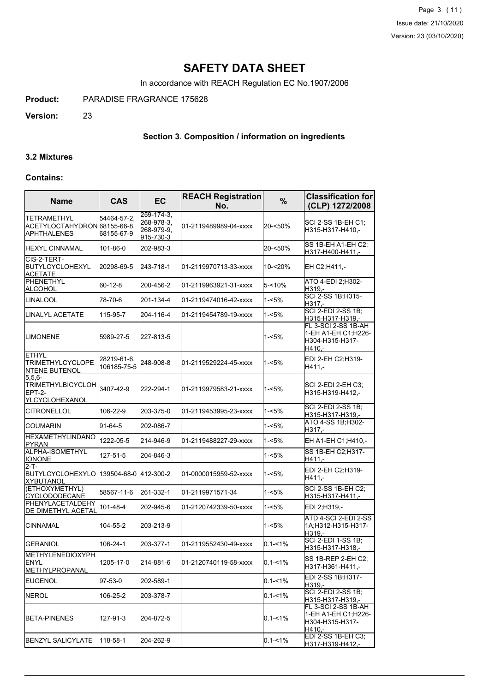Page 3 (11) Issue date: 21/10/2020 Version: 23 (03/10/2020)

## **SAFETY DATA SHEET**

In accordance with REACH Regulation EC No.1907/2006

**Product:** PARADISE FRAGRANCE 175628

**Version:** 23

## **Section 3. Composition / information on ingredients**

#### **3.2 Mixtures**

### **Contains:**

| <b>Name</b>                                                             | <b>CAS</b>                 | EC                                                       | <b>REACH Registration</b><br>No. | $\frac{9}{6}$ | <b>Classification for</b><br>(CLP) 1272/2008                                         |
|-------------------------------------------------------------------------|----------------------------|----------------------------------------------------------|----------------------------------|---------------|--------------------------------------------------------------------------------------|
| <b>TETRAMETHYL</b><br>ACETYLOCTAHYDRON 68155-66-8.<br>IAPHTHALENES      | 54464-57-2,<br>68155-67-9  | $259 - 174 - 3$<br>268-978-3,<br>268-979-9,<br>915-730-3 | 01-2119489989-04-xxxx            | $20 - 50\%$   | SCI 2-SS 1B-EH C1;<br>H315-H317-H410,-                                               |
| HEXYL CINNAMAL                                                          | 101-86-0                   | 202-983-3                                                |                                  | 20-<50%       | SS 1B-EH A1-EH C2;<br>H317-H400-H411.-                                               |
| CIS-2-TERT-<br>BUTYLCYCLOHEXYL<br><b>ACETATE</b>                        | 20298-69-5                 | 243-718-1                                                | 01-2119970713-33-xxxx            | 10-<20%       | EH C2;H411,-                                                                         |
| PHENETHYL<br><b>ALCOHOL</b>                                             | 60-12-8                    | 200-456-2                                                | 01-2119963921-31-xxxx            | 5-<10%        | ATO 4-EDI 2; H302-<br>H319.-                                                         |
| LINALOOL                                                                | 78-70-6                    | 201-134-4                                                | 01-2119474016-42-xxxx            | 1-<5%         | SCI 2-SS 1B:H315-<br>H317.-                                                          |
| LINALYL ACETATE                                                         | 115-95-7                   | 204-116-4                                                | 01-2119454789-19-xxxx            | 1-<5%         | <b>SCI 2-EDI 2-SS 1B;</b><br>H315-H317-H319,-                                        |
| <b>ILIMONENE</b>                                                        | 5989-27-5                  | 227-813-5                                                |                                  | 1-<5%         | FL 3-SCI 2-SS 1B-AH<br>1-EH A1-EH C1;H226-<br>H304-H315-H317-<br>H410.-              |
| ETHYL<br><b>TRIMETHYLCYCLOPE</b><br><b>NTENE BUTENOL</b>                | 28219-61-6,<br>106185-75-5 | 248-908-8                                                | 01-2119529224-45-xxxx            | 1-<5%         | EDI 2-EH C2:H319-<br>H411.-                                                          |
| $5,5,6-$<br><b>TRIMETHYLBICYCLOH</b><br><b>EPT-2-</b><br>YLCYCLOHEXANOL | 3407-42-9                  | 222-294-1                                                | 01-2119979583-21-xxxx            | $1 - 5%$      | SCI 2-EDI 2-EH C3:<br>H315-H319-H412.-                                               |
| <b>CITRONELLOL</b>                                                      | 106-22-9                   | 203-375-0                                                | 01-2119453995-23-xxxx            | 1-<5%         | <b>SCI 2-EDI 2-SS 1B:</b><br>H315-H317-H319.-                                        |
| <b>COUMARIN</b>                                                         | 91-64-5                    | 202-086-7                                                |                                  | $1 - 5%$      | ATO 4-SS 1B; H302-<br>H317,-                                                         |
| <b>HEXAMETHYLINDANO</b><br><b>PYRAN</b>                                 | 1222-05-5                  | 214-946-9                                                | 01-2119488227-29-xxxx            | 1-<5%         | EH A1-EH C1; H410,-                                                                  |
| ALPHA-ISOMETHYL<br><b>IONONE</b>                                        | 127-51-5                   | 204-846-3                                                |                                  | 1-<5%         | SS 1B-EH C2;H317-<br>H411.-                                                          |
| 2-T-<br>BUTYLCYCLOHEXYLO<br><b>XYBUTANOL</b>                            | 139504-68-0                | 412-300-2                                                | 01-0000015959-52-xxxx            | 1-<5%         | EDI 2-EH C2;H319-<br>H411.-                                                          |
| (ETHOXYMETHYL)<br><b>CYCLODODECANE</b>                                  | 58567-11-6                 | 261-332-1                                                | 01-2119971571-34                 | 1-<5%         | <b>SCI 2-SS 1B-EH C2:</b><br>H315-H317-H411,-                                        |
| PHENYLACETALDEHY<br>DE DIMETHYL ACETAL                                  | 101-48-4                   | 202-945-6                                                | 01-2120742339-50-xxxx            | 1-<5%         | EDI 2;H319,-                                                                         |
| <b>CINNAMAL</b>                                                         | 104-55-2                   | 203-213-9                                                |                                  | $1 - 5%$      | ATD 4-SCI 2-EDI 2-SS<br>1A:H312-H315-H317-<br>H319.-                                 |
| <b>GERANIOL</b>                                                         | 106-24-1                   | 203-377-1                                                | l01-2119552430-49-xxxx           | $0.1 - 1%$    | <b>SCI 2-EDI 1-SS 1B:</b><br>H315-H317-H318,-                                        |
| <b>METHYLENEDIOXYPH</b><br><b>IENYL</b><br><b>METHYLPROPANAL</b>        | 1205-17-0                  | 214-881-6                                                | 01-2120740119-58-xxxx            | $0.1 - 1\%$   | SS 1B-REP 2-EH C2;<br>H317-H361-H411,-                                               |
| EUGENOL                                                                 | 97-53-0                    | 202-589-1                                                |                                  | $0.1 - 1\%$   | EDI 2-SS 1B;H317-<br>H319.-                                                          |
| <b>NEROL</b>                                                            | 106-25-2                   | 203-378-7                                                |                                  | $0.1 - 1\%$   | <b>SCI 2-EDI 2-SS 1B;</b><br>H315-H317-H319.-                                        |
| <b>IBETA-PINENES</b>                                                    | 127-91-3                   | 204-872-5                                                |                                  | $0.1 - 1\%$   | FL 3-SCI 2-SS 1B-AH<br>1-EH A1-EH C1;H226-<br>H304-H315-H317-<br>H <sub>410</sub> ,- |
| BENZYL SALICYLATE                                                       | 118-58-1                   | 204-262-9                                                |                                  | $0.1 - 1\%$   | EDI 2-SS 1B-EH C3;<br>H317-H319-H412,-                                               |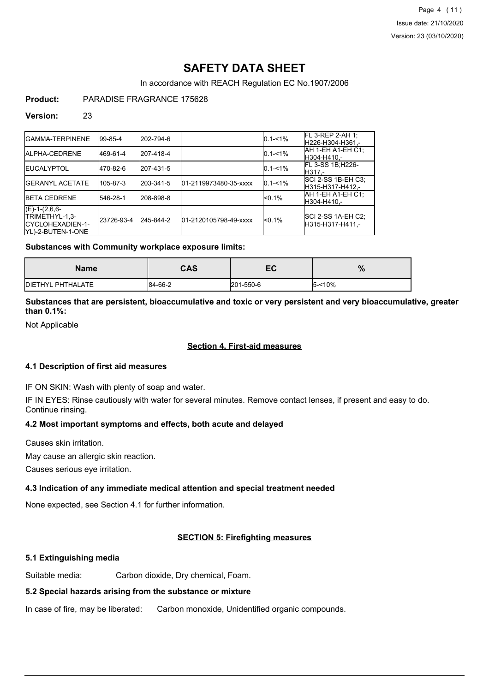Page 4 (11) Issue date: 21/10/2020 Version: 23 (03/10/2020)

## **SAFETY DATA SHEET**

In accordance with REACH Regulation EC No.1907/2006

## **Product:** PARADISE FRAGRANCE 175628

### **Version:** 23

| IGAMMA-TERPINENE                                                            | 199-85-4   | 202-794-6 |                       | $0.1 - 1\%$ | FL 3-REP 2-AH 1;<br>lH226-H304-H361.-   |
|-----------------------------------------------------------------------------|------------|-----------|-----------------------|-------------|-----------------------------------------|
| <b>IALPHA-CEDRENE</b>                                                       | 469-61-4   | 207-418-4 |                       | $0.1 - 1\%$ | IAH 1-EH A1-EH C1:<br>lH304-H410.-      |
| <b>IEUCALYPTOL</b>                                                          | 470-82-6   | 207-431-5 |                       | $0.1 - 1\%$ | <b>IFL 3-SS 1B:H226-</b><br>IH317.-     |
| <b>IGERANYL ACETATE</b>                                                     | 105-87-3   | 203-341-5 | 01-2119973480-35-xxxx | $0.1 - 1\%$ | SCI 2-SS 1B-EH C3;<br>H315-H317-H412.-  |
| <b>IBETA CEDRENE</b>                                                        | 546-28-1   | 208-898-8 |                       | $< 0.1\%$   | AH 1-EH A1-EH C1:<br>IH304-H410.-       |
| $(E)-1-(2,6,6-$<br>TRIMETHYL-1,3-<br>ICYCLOHEXADIEN-1-<br>YL)-2-BUTEN-1-ONE | 23726-93-4 | 245-844-2 | 01-2120105798-49-xxxx | $< 0.1\%$   | SCI 2-SS 1A-EH C2;<br>IH315-H317-H411.- |

## **Substances with Community workplace exposure limits:**

| <b>Name</b>              | <b>CAS</b> | cr<br>cv  | $\mathbf{a}$<br>70 |
|--------------------------|------------|-----------|--------------------|
| <b>DIETHYL PHTHALATE</b> | 84-66-2    | 201-550-6 | $5 - 10%$          |

## **Substances that are persistent, bioaccumulative and toxic or very persistent and very bioaccumulative, greater than 0.1%:**

Not Applicable

## **Section 4. First-aid measures**

#### **4.1 Description of first aid measures**

IF ON SKIN: Wash with plenty of soap and water.

IF IN EYES: Rinse cautiously with water for several minutes. Remove contact lenses, if present and easy to do. Continue rinsing.

## **4.2 Most important symptoms and effects, both acute and delayed**

Causes skin irritation.

May cause an allergic skin reaction.

Causes serious eye irritation.

## **4.3 Indication of any immediate medical attention and special treatment needed**

None expected, see Section 4.1 for further information.

## **SECTION 5: Firefighting measures**

## **5.1 Extinguishing media**

Suitable media: Carbon dioxide, Dry chemical, Foam.

## **5.2 Special hazards arising from the substance or mixture**

In case of fire, may be liberated: Carbon monoxide, Unidentified organic compounds.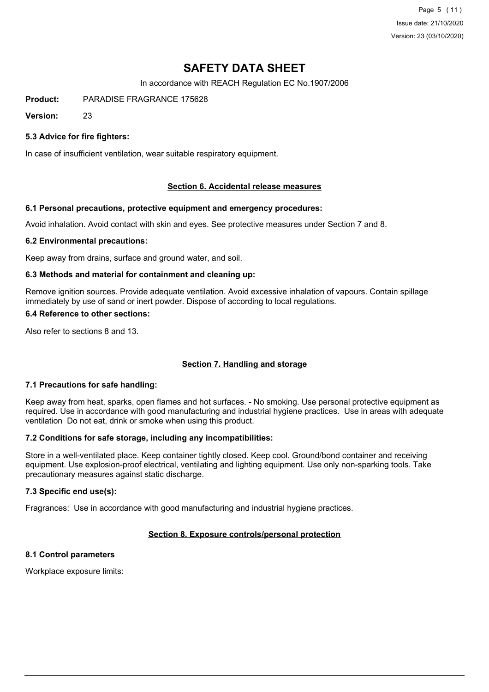Page 5 (11) Issue date: 21/10/2020 Version: 23 (03/10/2020)

## **SAFETY DATA SHEET**

In accordance with REACH Regulation EC No.1907/2006

**Product:** PARADISE FRAGRANCE 175628

**Version:** 23

## **5.3 Advice for fire fighters:**

In case of insufficient ventilation, wear suitable respiratory equipment.

## **Section 6. Accidental release measures**

#### **6.1 Personal precautions, protective equipment and emergency procedures:**

Avoid inhalation. Avoid contact with skin and eyes. See protective measures under Section 7 and 8.

#### **6.2 Environmental precautions:**

Keep away from drains, surface and ground water, and soil.

#### **6.3 Methods and material for containment and cleaning up:**

Remove ignition sources. Provide adequate ventilation. Avoid excessive inhalation of vapours. Contain spillage immediately by use of sand or inert powder. Dispose of according to local regulations.

#### **6.4 Reference to other sections:**

Also refer to sections 8 and 13.

## **Section 7. Handling and storage**

## **7.1 Precautions for safe handling:**

Keep away from heat, sparks, open flames and hot surfaces. - No smoking. Use personal protective equipment as required. Use in accordance with good manufacturing and industrial hygiene practices. Use in areas with adequate ventilation Do not eat, drink or smoke when using this product.

## **7.2 Conditions for safe storage, including any incompatibilities:**

Store in a well-ventilated place. Keep container tightly closed. Keep cool. Ground/bond container and receiving equipment. Use explosion-proof electrical, ventilating and lighting equipment. Use only non-sparking tools. Take precautionary measures against static discharge.

## **7.3 Specific end use(s):**

Fragrances: Use in accordance with good manufacturing and industrial hygiene practices.

## **Section 8. Exposure controls/personal protection**

## **8.1 Control parameters**

Workplace exposure limits: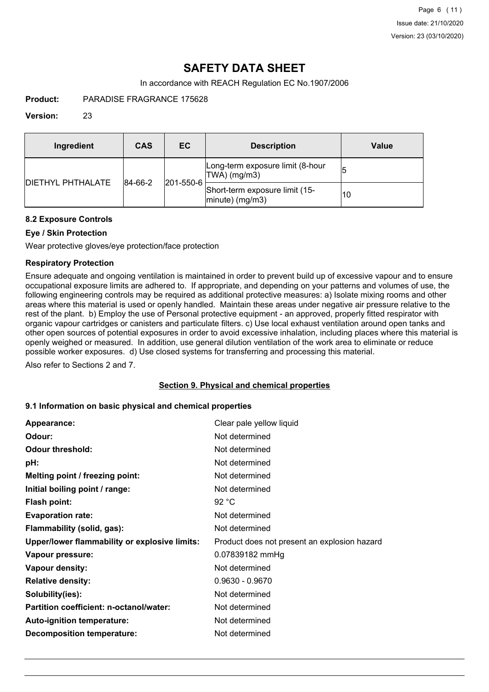## **SAFETY DATA SHEET**

In accordance with REACH Regulation EC No.1907/2006

**Product:** PARADISE FRAGRANCE 175628

## **Version:** 23

| Ingredient                | CAS     | <b>EC</b> | <b>Description</b>                                   | <b>Value</b> |
|---------------------------|---------|-----------|------------------------------------------------------|--------------|
| <b>IDIETHYL PHTHALATE</b> |         |           | Long-term exposure limit (8-hour<br>TWA) (mg/m3)     | 15           |
|                           | 84-66-2 | 201-550-6 | Short-term exposure limit (15-<br>$ minute)$ (mg/m3) | 10           |

## **8.2 Exposure Controls**

## **Eye / Skin Protection**

Wear protective gloves/eye protection/face protection

## **Respiratory Protection**

Ensure adequate and ongoing ventilation is maintained in order to prevent build up of excessive vapour and to ensure occupational exposure limits are adhered to. If appropriate, and depending on your patterns and volumes of use, the following engineering controls may be required as additional protective measures: a) Isolate mixing rooms and other areas where this material is used or openly handled. Maintain these areas under negative air pressure relative to the rest of the plant. b) Employ the use of Personal protective equipment - an approved, properly fitted respirator with organic vapour cartridges or canisters and particulate filters. c) Use local exhaust ventilation around open tanks and other open sources of potential exposures in order to avoid excessive inhalation, including places where this material is openly weighed or measured. In addition, use general dilution ventilation of the work area to eliminate or reduce possible worker exposures. d) Use closed systems for transferring and processing this material.

Also refer to Sections 2 and 7.

## **Section 9. Physical and chemical properties**

## **9.1 Information on basic physical and chemical properties**

| Appearance:                                   | Clear pale yellow liquid                     |
|-----------------------------------------------|----------------------------------------------|
| Odour:                                        | Not determined                               |
| <b>Odour threshold:</b>                       | Not determined                               |
| pH:                                           | Not determined                               |
| Melting point / freezing point:               | Not determined                               |
| Initial boiling point / range:                | Not determined                               |
| Flash point:                                  | 92 °C                                        |
| <b>Evaporation rate:</b>                      | Not determined                               |
| Flammability (solid, gas):                    | Not determined                               |
| Upper/lower flammability or explosive limits: | Product does not present an explosion hazard |
| Vapour pressure:                              | 0.07839182 mmHg                              |
| Vapour density:                               | Not determined                               |
| <b>Relative density:</b>                      | $0.9630 - 0.9670$                            |
| Solubility(ies):                              | Not determined                               |
| Partition coefficient: n-octanol/water:       | Not determined                               |
| Auto-ignition temperature:                    | Not determined                               |
| <b>Decomposition temperature:</b>             | Not determined                               |
|                                               |                                              |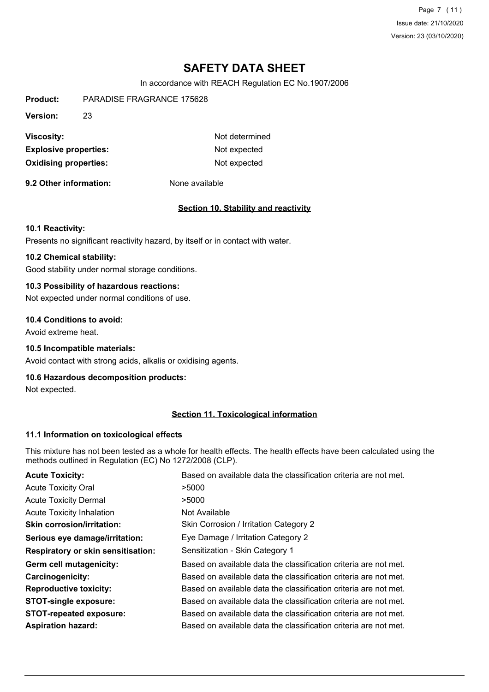Page 7 (11) Issue date: 21/10/2020 Version: 23 (03/10/2020)

## **SAFETY DATA SHEET**

In accordance with REACH Regulation EC No.1907/2006

**Product:** PARADISE FRAGRANCE 175628 **Version:** 23 **Viscosity:** Not determined **Explosive properties:** Not expected **Oxidising properties:** Not expected

**9.2 Other information:** None available

## **Section 10. Stability and reactivity**

#### **10.1 Reactivity:**

Presents no significant reactivity hazard, by itself or in contact with water.

## **10.2 Chemical stability:**

Good stability under normal storage conditions.

## **10.3 Possibility of hazardous reactions:**

Not expected under normal conditions of use.

#### **10.4 Conditions to avoid:**

Avoid extreme heat.

## **10.5 Incompatible materials:**

Avoid contact with strong acids, alkalis or oxidising agents.

### **10.6 Hazardous decomposition products:**

Not expected.

## **Section 11. Toxicological information**

#### **11.1 Information on toxicological effects**

This mixture has not been tested as a whole for health effects. The health effects have been calculated using the methods outlined in Regulation (EC) No 1272/2008 (CLP).

| <b>Acute Toxicity:</b>                    | Based on available data the classification criteria are not met. |
|-------------------------------------------|------------------------------------------------------------------|
| <b>Acute Toxicity Oral</b>                | >5000                                                            |
| <b>Acute Toxicity Dermal</b>              | >5000                                                            |
| <b>Acute Toxicity Inhalation</b>          | Not Available                                                    |
| <b>Skin corrosion/irritation:</b>         | Skin Corrosion / Irritation Category 2                           |
| Serious eye damage/irritation:            | Eye Damage / Irritation Category 2                               |
| <b>Respiratory or skin sensitisation:</b> | Sensitization - Skin Category 1                                  |
| Germ cell mutagenicity:                   | Based on available data the classification criteria are not met. |
| <b>Carcinogenicity:</b>                   | Based on available data the classification criteria are not met. |
| <b>Reproductive toxicity:</b>             | Based on available data the classification criteria are not met. |
| <b>STOT-single exposure:</b>              | Based on available data the classification criteria are not met. |
| <b>STOT-repeated exposure:</b>            | Based on available data the classification criteria are not met. |
| <b>Aspiration hazard:</b>                 | Based on available data the classification criteria are not met. |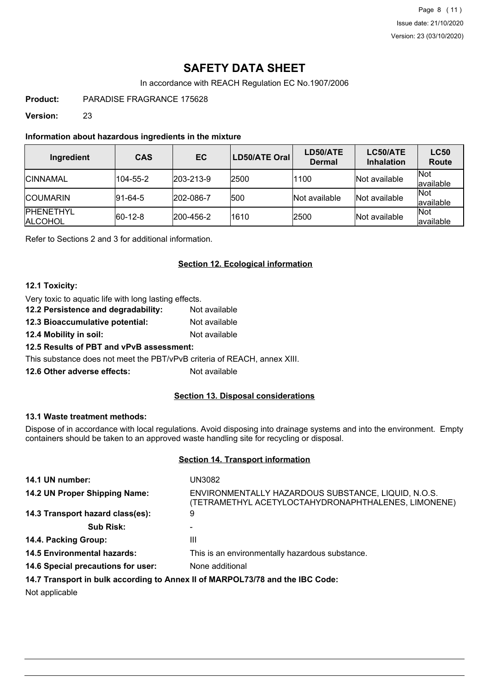Page 8 (11) Issue date: 21/10/2020 Version: 23 (03/10/2020)

## **SAFETY DATA SHEET**

In accordance with REACH Regulation EC No.1907/2006

**Product:** PARADISE FRAGRANCE 175628

**Version:** 23

## **Information about hazardous ingredients in the mixture**

| Ingredient                          | <b>CAS</b>  | <b>EC</b>         | LD50/ATE Oral | LD50/ATE<br><b>Dermal</b> | LC50/ATE<br><b>Inhalation</b> | <b>LC50</b><br>Route      |
|-------------------------------------|-------------|-------------------|---------------|---------------------------|-------------------------------|---------------------------|
| <b>ICINNAMAL</b>                    | 104-55-2    | $ 203 - 213 - 9 $ | 2500          | 1100                      | Not available                 | <b>INot</b><br>lavailable |
| <b>ICOUMARIN</b>                    | $ 91-64-5 $ | 202-086-7         | 500           | <b>Not available</b>      | Not available                 | <b>Not</b><br>available   |
| <b>IPHENETHYL</b><br><b>ALCOHOL</b> | $ 60-12-8 $ | 200-456-2         | 1610          | 2500                      | Not available                 | <b>Not</b><br>lavailable  |

Refer to Sections 2 and 3 for additional information.

## **Section 12. Ecological information**

## **12.1 Toxicity:**

- Very toxic to aquatic life with long lasting effects.
- **12.2 Persistence and degradability:** Not available
- **12.3 Bioaccumulative potential:** Not available
- **12.4 Mobility in soil:** Not available

**12.5 Results of PBT and vPvB assessment:**

This substance does not meet the PBT/vPvB criteria of REACH, annex XIII.

**12.6 Other adverse effects:** Not available

## **Section 13. Disposal considerations**

## **13.1 Waste treatment methods:**

Dispose of in accordance with local regulations. Avoid disposing into drainage systems and into the environment. Empty containers should be taken to an approved waste handling site for recycling or disposal.

## **Section 14. Transport information**

| 14.1 UN number:                                                               | UN3082                                                                                                     |
|-------------------------------------------------------------------------------|------------------------------------------------------------------------------------------------------------|
| 14.2 UN Proper Shipping Name:                                                 | ENVIRONMENTALLY HAZARDOUS SUBSTANCE, LIQUID, N.O.S.<br>(TETRAMETHYL ACETYLOCTAHYDRONAPHTHALENES, LIMONENE) |
| 14.3 Transport hazard class(es):                                              | 9                                                                                                          |
| <b>Sub Risk:</b>                                                              |                                                                                                            |
| 14.4. Packing Group:                                                          | Ш                                                                                                          |
| <b>14.5 Environmental hazards:</b>                                            | This is an environmentally hazardous substance.                                                            |
| 14.6 Special precautions for user:                                            | None additional                                                                                            |
| 14.7 Transport in bulk according to Annex II of MARPOL73/78 and the IBC Code: |                                                                                                            |

Not applicable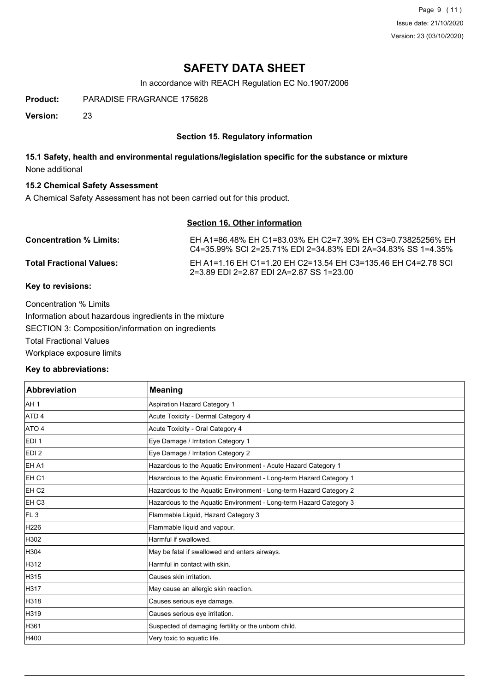Page 9 (11) Issue date: 21/10/2020 Version: 23 (03/10/2020)

## **SAFETY DATA SHEET**

In accordance with REACH Regulation EC No.1907/2006

**Product:** PARADISE FRAGRANCE 175628

**Version:** 23

## **Section 15. Regulatory information**

## **15.1 Safety, health and environmental regulations/legislation specific for the substance or mixture** None additional

## **15.2 Chemical Safety Assessment**

A Chemical Safety Assessment has not been carried out for this product.

## **Section 16. Other information**

| <b>Concentration % Limits:</b>  | EH A1=86.48% EH C1=83.03% EH C2=7.39% EH C3=0.73825256% EH<br>C4=35.99% SCI 2=25.71% EDI 2=34.83% EDI 2A=34.83% SS 1=4.35% |
|---------------------------------|----------------------------------------------------------------------------------------------------------------------------|
| <b>Total Fractional Values:</b> | FH A1=1 16 FH C1=1 20 FH C2=13 54 FH C3=135 46 FH C4=2 78 SCL<br>2=3.89 EDI 2=2.87 EDI 2A=2.87 SS 1=23.00                  |

## **Key to revisions:**

Concentration % Limits Information about hazardous ingredients in the mixture SECTION 3: Composition/information on ingredients Total Fractional Values Workplace exposure limits

## **Key to abbreviations:**

| <b>Abbreviation</b> | <b>Meaning</b>                                                     |
|---------------------|--------------------------------------------------------------------|
| AH <sub>1</sub>     | Aspiration Hazard Category 1                                       |
| ATD <sub>4</sub>    | Acute Toxicity - Dermal Category 4                                 |
| ATO 4               | Acute Toxicity - Oral Category 4                                   |
| EDI <sub>1</sub>    | Eye Damage / Irritation Category 1                                 |
| EDI <sub>2</sub>    | Eye Damage / Irritation Category 2                                 |
| EH A1               | Hazardous to the Aquatic Environment - Acute Hazard Category 1     |
| EH <sub>C1</sub>    | Hazardous to the Aquatic Environment - Long-term Hazard Category 1 |
| EH <sub>C2</sub>    | Hazardous to the Aquatic Environment - Long-term Hazard Category 2 |
| EH <sub>C3</sub>    | Hazardous to the Aquatic Environment - Long-term Hazard Category 3 |
| FL <sub>3</sub>     | Flammable Liquid, Hazard Category 3                                |
| H226                | Flammable liquid and vapour.                                       |
| H302                | Harmful if swallowed.                                              |
| H304                | May be fatal if swallowed and enters airways.                      |
| H312                | Harmful in contact with skin.                                      |
| H315                | Causes skin irritation.                                            |
| H317                | May cause an allergic skin reaction.                               |
| H318                | Causes serious eye damage.                                         |
| H319                | Causes serious eye irritation.                                     |
| H361                | Suspected of damaging fertility or the unborn child.               |
| H400                | Very toxic to aquatic life.                                        |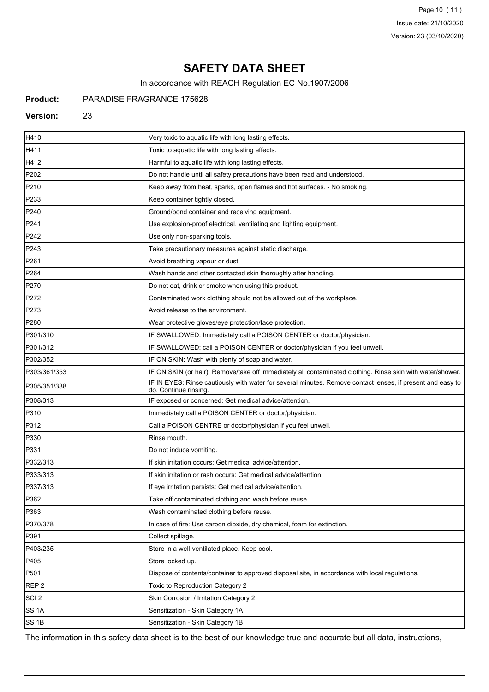Page 10 (11) Issue date: 21/10/2020 Version: 23 (03/10/2020)

## **SAFETY DATA SHEET**

In accordance with REACH Regulation EC No.1907/2006

## **Product:** PARADISE FRAGRANCE 175628

### **Version:** 23

| H410             | Very toxic to aquatic life with long lasting effects.                                                                               |
|------------------|-------------------------------------------------------------------------------------------------------------------------------------|
| H411             |                                                                                                                                     |
| H412             | Toxic to aquatic life with long lasting effects.                                                                                    |
|                  | Harmful to aquatic life with long lasting effects.                                                                                  |
| P202             | Do not handle until all safety precautions have been read and understood.                                                           |
| P210             | Keep away from heat, sparks, open flames and hot surfaces. - No smoking.                                                            |
| P233             | Keep container tightly closed.                                                                                                      |
| P240             | Ground/bond container and receiving equipment.                                                                                      |
| P241             | Use explosion-proof electrical, ventilating and lighting equipment.                                                                 |
| P242             | Use only non-sparking tools.                                                                                                        |
| P243             | Take precautionary measures against static discharge.                                                                               |
| P261             | Avoid breathing vapour or dust.                                                                                                     |
| P264             | Wash hands and other contacted skin thoroughly after handling.                                                                      |
| P270             | Do not eat, drink or smoke when using this product.                                                                                 |
| P272             | Contaminated work clothing should not be allowed out of the workplace.                                                              |
| P273             | Avoid release to the environment.                                                                                                   |
| P280             | Wear protective gloves/eye protection/face protection.                                                                              |
| P301/310         | IF SWALLOWED: Immediately call a POISON CENTER or doctor/physician.                                                                 |
| P301/312         | IF SWALLOWED: call a POISON CENTER or doctor/physician if you feel unwell.                                                          |
| P302/352         | IF ON SKIN: Wash with plenty of soap and water.                                                                                     |
| P303/361/353     | IF ON SKIN (or hair): Remove/take off immediately all contaminated clothing. Rinse skin with water/shower.                          |
| P305/351/338     | IF IN EYES: Rinse cautiously with water for several minutes. Remove contact lenses, if present and easy to<br>do. Continue rinsing. |
| P308/313         | IF exposed or concerned: Get medical advice/attention.                                                                              |
| P310             | Immediately call a POISON CENTER or doctor/physician.                                                                               |
| P312             | Call a POISON CENTRE or doctor/physician if you feel unwell.                                                                        |
| P330             | Rinse mouth.                                                                                                                        |
| P331             | Do not induce vomiting.                                                                                                             |
| P332/313         | If skin irritation occurs: Get medical advice/attention.                                                                            |
| P333/313         | If skin irritation or rash occurs: Get medical advice/attention.                                                                    |
| P337/313         | If eye irritation persists: Get medical advice/attention.                                                                           |
| P362             | Take off contaminated clothing and wash before reuse.                                                                               |
| P363             | Wash contaminated clothing before reuse.                                                                                            |
| P370/378         | In case of fire: Use carbon dioxide, dry chemical, foam for extinction.                                                             |
| P391             | Collect spillage.                                                                                                                   |
| P403/235         | Store in a well-ventilated place. Keep cool.                                                                                        |
| P405             | Store locked up.                                                                                                                    |
| P501             | Dispose of contents/container to approved disposal site, in accordance with local regulations.                                      |
| REP <sub>2</sub> | Toxic to Reproduction Category 2                                                                                                    |
| SCI <sub>2</sub> | Skin Corrosion / Irritation Category 2                                                                                              |
| SS 1A            | Sensitization - Skin Category 1A                                                                                                    |
| SS 1B            | Sensitization - Skin Category 1B                                                                                                    |

The information in this safety data sheet is to the best of our knowledge true and accurate but all data, instructions,